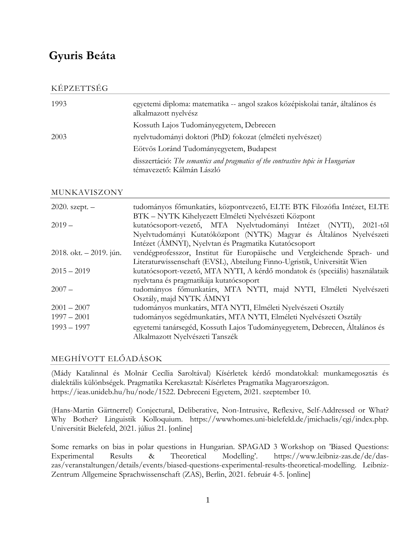## **Gyuris Beáta**

#### KÉPZETTSÉG

| 1993 | egyetemi diploma: matematika -- angol szakos középiskolai tanár, általános és<br>alkalmazott nyelvész         |
|------|---------------------------------------------------------------------------------------------------------------|
|      | Kossuth Lajos Tudományegyetem, Debrecen                                                                       |
| 2003 | nyelvtudományi doktori (PhD) fokozat (elméleti nyelvészet)                                                    |
|      | Eötvös Loránd Tudományegyetem, Budapest                                                                       |
|      | disszertáció: The semantics and pragmatics of the contrastive topic in Hungarian<br>témavezető: Kálmán László |

#### MUNKAVISZONY

| $2020.$ szept. $-$      | tudományos főmunkatárs, központvezető, ELTE BTK Filozófia Intézet, ELTE      |
|-------------------------|------------------------------------------------------------------------------|
|                         | BTK - NYTK Kihelyezett Elméleti Nyelvészeti Központ                          |
| $2019 -$                | kutatócsoport-vezető, MTA Nyelvtudományi Intézet (NYTI), 2021-től            |
|                         | Nyelvtudományi Kutatóközpont (NYTK) Magyar és Általános Nyelvészeti          |
|                         | Intézet (ÁMNYI), Nyelvtan és Pragmatika Kutatócsoport                        |
| 2018. okt. - 2019. jún. | vendégprofesszor, Institut für Europäische und Vergleichende Sprach- und     |
|                         | Literaturwissenschaft (EVSL), Abteilung Finno-Ugristik, Universität Wien     |
| $2015 - 2019$           | kutatócsoport-vezető, MTA NYTI, A kérdő mondatok és (speciális) használataik |
|                         | nyelvtana és pragmatikája kutatócsoport                                      |
| $2007 -$                | tudományos főmunkatárs, MTA NYTI, majd NYTI, Elméleti Nyelvészeti            |
|                         | Osztály, majd NYTK ÁMNYI                                                     |
| $2001 - 2007$           | tudományos munkatárs, MTA NYTI, Elméleti Nyelvészeti Osztály                 |
| $1997 - 2001$           | tudományos segédmunkatárs, MTA NYTI, Elméleti Nyelvészeti Osztály            |
| $1993 - 1997$           | egyetemi tanársegéd, Kossuth Lajos Tudományegyetem, Debrecen, Általános és   |
|                         | Alkalmazott Nyelvészeti Tanszék                                              |

### MEGHÍVOTT ELŐADÁSOK

(Mády Katalinnal és Molnár Cecília Saroltával) Kísérletek kérdő mondatokkal: munkamegosztás és dialektális különbségek. Pragmatika Kerekasztal: Kísérletes Pragmatika Magyarországon. https://ieas.unideb.hu/hu/node/1522. Debreceni Egyetem, 2021. szeptember 10.

(Hans-Martin Gärtnerrel) Conjectural, Deliberative, Non-Intrusive, Reflexive, Self-Addressed or What? Why Bother? Linguistik Kolloquium. https://wwwhomes.uni-bielefeld.de/jmichaelis/cgi/index.php. Universität Bielefeld, 2021. július 21. [online]

Some remarks on bias in polar questions in Hungarian. SPAGAD 3 Workshop on 'Biased Questions: Experimental Results & Theoretical Modelling'. https://www.leibniz-zas.de/de/daszas/veranstaltungen/details/events/biased-questions-experimental-results-theoretical-modelling. Leibniz-Zentrum Allgemeine Sprachwissenschaft (ZAS), Berlin, 2021. február 4-5. [online]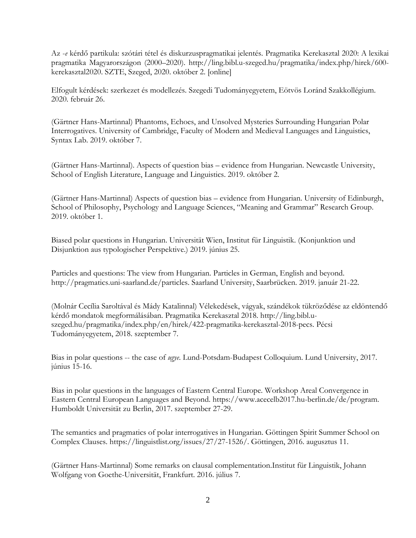Az -*e* kérdő partikula: szótári tétel és diskurzuspragmatikai jelentés. Pragmatika Kerekasztal 2020: A lexikai pragmatika Magyarországon (2000–2020). http://ling.bibl.u-szeged.hu/pragmatika/index.php/hirek/600 kerekasztal2020. SZTE, Szeged, 2020. október 2. [online]

Elfogult kérdések: szerkezet és modellezés. Szegedi Tudományegyetem, Eötvös Loránd Szakkollégium. 2020. február 26.

(Gärtner Hans-Martinnal) Phantoms, Echoes, and Unsolved Mysteries Surrounding Hungarian Polar Interrogatives. University of Cambridge, Faculty of Modern and Medieval Languages and Linguistics, Syntax Lab. 2019. október 7.

(Gärtner Hans-Martinnal). Aspects of question bias – evidence from Hungarian. Newcastle University, School of English Literature, Language and Linguistics. 2019. október 2.

(Gärtner Hans-Martinnal) Aspects of question bias – evidence from Hungarian. University of Edinburgh, School of Philosophy, Psychology and Language Sciences, "Meaning and Grammar" Research Group. 2019. október 1.

Biased polar questions in Hungarian. Universität Wien, Institut für Linguistik. [\(Konjunktion und](https://www.univie.ac.at/konjunktion/veranstaltungen.html)  [Disjunktion aus typologischer Perspektive.](https://www.univie.ac.at/konjunktion/veranstaltungen.html)) 2019. június 25.

Particles and questions: The view from Hungarian. Particles in German, English and beyond. http://pragmatics.uni-saarland.de/particles. Saarland University, Saarbrücken. 2019. január 21-22.

(Molnár Cecília Saroltával és Mády Katalinnal) Vélekedések, vágyak, szándékok tükröződése az eldöntendő kérdő mondatok megformálásában. Pragmatika Kerekasztal 2018. http://ling.bibl.uszeged.hu/pragmatika/index.php/en/hirek/422-pragmatika-kerekasztal-2018-pecs. Pécsi Tudományegyetem, 2018. szeptember 7.

Bias in polar questions -- the case of *ugye*. Lund-Potsdam-Budapest Colloquium. Lund University, 2017. június 15-16.

Bias in polar questions in the languages of Eastern Central Europe. Workshop Areal Convergence in Eastern Central European Languages and Beyond. https://www.acecelb2017.hu-berlin.de/de/program. Humboldt Universität zu Berlin, 2017. szeptember 27-29.

The semantics and pragmatics of polar interrogatives in Hungarian. Göttingen Spirit Summer School on Complex Clauses. https://linguistlist.org/issues/27/27-1526/. Göttingen, 2016. augusztus 11.

(Gärtner Hans-Martinnal) Some remarks on clausal complementation.Institut für Linguistik, Johann Wolfgang von Goethe-Universität, Frankfurt. 2016. július 7.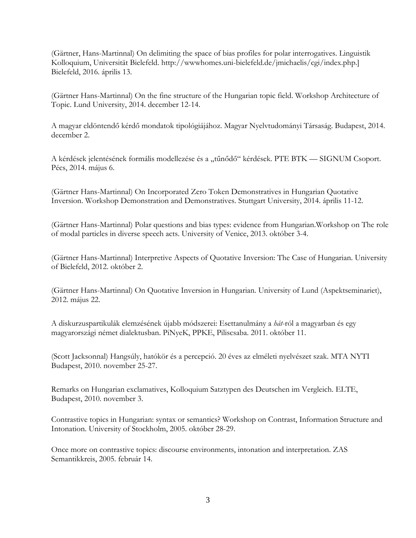(Gärtner, Hans-Martinnal) On delimiting the space of bias profiles for polar interrogatives. Linguistik Kolloquium, Universität Bielefeld. http://wwwhomes.uni-bielefeld.de/jmichaelis/cgi/index.php.] Bielefeld, 2016. április 13.

(Gärtner Hans-Martinnal) On the fine structure of the Hungarian topic field. Workshop Architecture of Topic. Lund University, 2014. december 12-14.

A magyar eldöntendő kérdő mondatok tipológiájához. Magyar Nyelvtudományi Társaság. Budapest, 2014. december 2.

A kérdések jelentésének formális modellezése és a "tűnődő" kérdések. PTE BTK — SIGNUM Csoport. Pécs, 2014. május 6.

(Gärtner Hans-Martinnal) On Incorporated Zero Token Demonstratives in Hungarian Quotative Inversion. Workshop Demonstration and Demonstratives. Stuttgart University, 2014. április 11-12.

(Gärtner Hans-Martinnal) Polar questions and bias types: evidence from Hungarian.Workshop on The role of modal particles in diverse speech acts. University of Venice, 2013. október 3-4.

(Gärtner Hans-Martinnal) Interpretive Aspects of Quotative Inversion: The Case of Hungarian. University of Bielefeld, 2012. október 2.

(Gärtner Hans-Martinnal) On Quotative Inversion in Hungarian. University of Lund (Aspektseminariet), 2012. május 22.

A diskurzuspartikulák elemzésének újabb módszerei: Esettanulmány a *hát*-ról a magyarban és egy magyarországi német dialektusban. PiNyeK, PPKE, Piliscsaba. 2011. október 11.

(Scott Jacksonnal) Hangsúly, hatókör és a percepció. 20 éves az elméleti nyelvészet szak. MTA NYTI Budapest, 2010. november 25-27.

Remarks on Hungarian exclamatives, Kolloquium Satztypen des Deutschen im Vergleich. ELTE, Budapest, 2010. november 3.

Contrastive topics in Hungarian: syntax or semantics? Workshop on Contrast, Information Structure and Intonation. University of Stockholm, 2005. október 28-29.

Once more on contrastive topics: discourse environments, intonation and interpretation. ZAS Semantikkreis, 2005. február 14.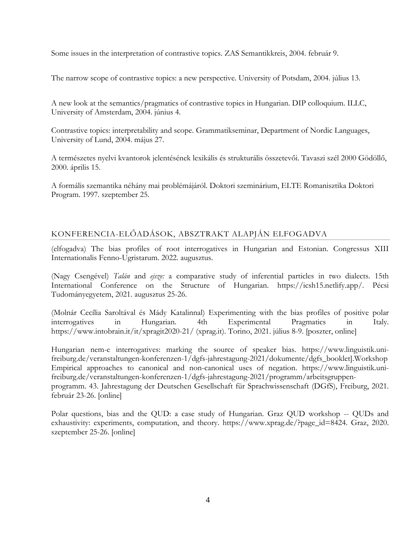Some issues in the interpretation of contrastive topics. ZAS Semantikkreis, 2004. február 9.

The narrow scope of contrastive topics: a new perspective. University of Potsdam, 2004. július 13.

A new look at the semantics/pragmatics of contrastive topics in Hungarian. DIP colloquium. ILLC, University of Amsterdam, 2004. június 4.

Contrastive topics: interpretability and scope. Grammatikseminar, Department of Nordic Languages, University of Lund, 2004. május 27.

A természetes nyelvi kvantorok jelentésének lexikális és strukturális összetevői. Tavaszi szél 2000 Gödöllő, 2000. április 15.

A formális szemantika néhány mai problémájáról. Doktori szeminárium, ELTE Romanisztika Doktori Program. 1997. szeptember 25.

### KONFERENCIA-ELŐADÁSOK, ABSZTRAKT ALAPJÁN ELFOGADVA

(elfogadva) The bias profiles of root interrogatives in Hungarian and Estonian. Congressus XIII Internationalis Fenno-Ugristarum. 2022. augusztus.

(Nagy Csengével) *Talán* and *ejsze:* a comparative study of inferential particles in two dialects. 15th International Conference on the Structure of Hungarian. https://icsh15.netlify.app/. Pécsi Tudományegyetem, 2021. augusztus 25-26.

(Molnár Cecília Saroltával és Mády Katalinnal) Experimenting with the bias profiles of positive polar interrogatives in Hungarian. 4th Experimental Pragmatics in Italy. https://www.intobrain.it/it/xpragit2020-21/ (xprag.it). Torino, 2021. július 8-9. [poszter, online]

Hungarian nem-e interrogatives: marking the source of speaker bias. https://www.linguistik.unifreiburg.de/veranstaltungen-konferenzen-1/dgfs-jahrestagung-2021/dokumente/dgfs\_booklet].Workshop Empirical approaches to canonical and non-canonical uses of negation. https://www.linguistik.unifreiburg.de/veranstaltungen-konferenzen-1/dgfs-jahrestagung-2021/programm/arbeitsgruppenprogramm. 43. Jahrestagung der Deutschen Gesellschaft für Sprachwissenschaft (DGfS), Freiburg, 2021. február 23-26. [online]

Polar questions, bias and the QUD: a case study of Hungarian. Graz QUD workshop -- QUDs and exhaustivity: experiments, computation, and theory. [https://www.xprag.de/?page\\_id=8424.](https://www.xprag.de/?page_id=8424) Graz, 2020. szeptember 25-26. [online]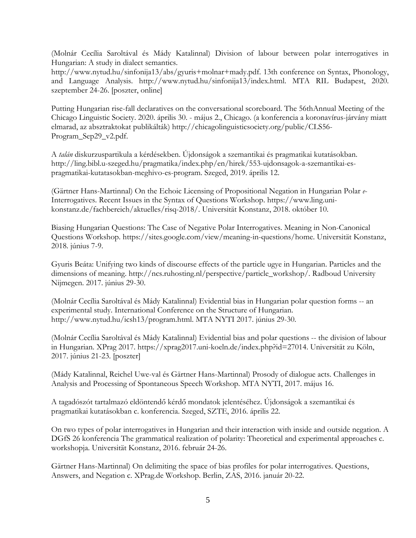(Molnár Cecília Saroltával és Mády Katalinnal) [Division of labour between polar interrogatives in](http://www.nytud.hu/sinfonija13/abs/gyuris+molnar+mady.pdf)  [Hungarian: A study in dialect semantics.](http://www.nytud.hu/sinfonija13/abs/gyuris+molnar+mady.pdf)

http://www.nytud.hu/sinfonija13/abs/gyuris+molnar+mady.pdf. [13th conference on Syntax, Phonology,](http://www.nytud.hu/sinfonija13/index.html)  [and Language Analysis.](http://www.nytud.hu/sinfonija13/index.html) http://www.nytud.hu/sinfonija13/index.html. MTA RIL Budapest, 2020. szeptember 24-26. [poszter, online]

Putting Hungarian rise-fall declaratives on the conversational scoreboard. The 56thAnnual Meeting of the Chicago Linguistic Society. 2020. április 30. - május 2., Chicago. (a konferencia a koronavírus-járvány miatt elmarad, az absztraktokat publikálták) [http://chicagolinguisticsociety.org/public/CLS56-](http://chicagolinguisticsociety.org/public/CLS56-Program_Sep29_v2.pdf) [Program\\_Sep29\\_v2.pdf.](http://chicagolinguisticsociety.org/public/CLS56-Program_Sep29_v2.pdf)

A *talán* diskurzuspartikula a kérdésekben. Újdonságok a szemantikai és pragmatikai kutatásokban. http://ling.bibl.u-szeged.hu/pragmatika/index.php/en/hirek/553-ujdonsagok-a-szemantikai-espragmatikai-kutatasokban-meghivo-es-program. Szeged, 2019. április 12.

(Gärtner Hans-Martinnal) On the Echoic Licensing of Propositional Negation in Hungarian Polar *e*-Interrogatives. Recent Issues in the Syntax of Questions Workshop. https://www.ling.unikonstanz.de/fachbereich/aktuelles/risq-2018/. Universität Konstanz, 2018. október 10.

Biasing Hungarian Questions: The Case of Negative Polar Interrogatives. Meaning in Non-Canonical Questions Workshop. https://sites.google.com/view/meaning-in-questions/home. Universität Konstanz, 2018. június 7-9.

Gyuris Beáta: Unifying two kinds of discourse effects of the particle ugye in Hungarian. Particles and the dimensions of meaning. http://ncs.ruhosting.nl/perspective/particle\_workshop/. Radboud University Nijmegen. 2017. június 29-30.

(Molnár Cecília Saroltával és Mády Katalinnal) Evidential bias in Hungarian polar question forms -- an experimental study. International Conference on the Structure of Hungarian. http://www.nytud.hu/icsh13/program.html. MTA NYTI 2017. június 29-30.

(Molnár Cecília Saroltával és Mády Katalinnal) Evidential bias and polar questions -- the division of labour in Hungarian. XPrag 2017. [https://xprag2017.uni-koeln.de/index.php?id=27014.](https://xprag2017.uni-koeln.de/index.php?id=27014) Universität zu Köln, 2017. június 21-23. [poszter]

(Mády Katalinnal, Reichel Uwe-val és Gärtner Hans-Martinnal) Prosody of dialogue acts. Challenges in Analysis and Processing of Spontaneous Speech Workshop. MTA NYTI, 2017. május 16.

A tagadószót tartalmazó eldöntendő kérdő mondatok jelentéséhez. Újdonságok a szemantikai és pragmatikai kutatásokban c. konferencia. Szeged, SZTE, 2016. április 22.

On two types of polar interrogatives in Hungarian and their interaction with inside and outside negation. A DGfS 26 konferencia The grammatical realization of polarity: Theoretical and experimental approaches c. workshopja. Universität Konstanz, 2016. február 24-26.

Gärtner Hans-Martinnal) On delimiting the space of bias profiles for polar interrogatives. Questions, Answers, and Negation c. XPrag.de Workshop. Berlin, ZAS, 2016. január 20-22.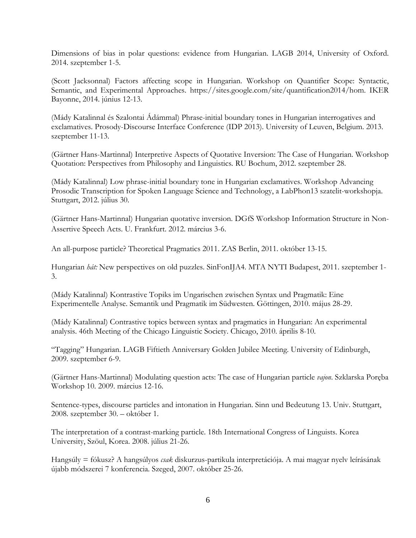Dimensions of bias in polar questions: evidence from Hungarian. LAGB 2014, University of Oxford. 2014. szeptember 1-5.

(Scott Jacksonnal) Factors affecting scope in Hungarian. Workshop on Quantifier Scope: Syntactic, Semantic, and Experimental Approaches. https://sites.google.com/site/quantification2014/hom. IKER Bayonne, 2014. június 12-13.

(Mády Katalinnal és Szalontai Ádámmal) Phrase-initial boundary tones in Hungarian interrogatives and exclamatives. Prosody-Discourse Interface Conference (IDP 2013). University of Leuven, Belgium. 2013. szeptember 11-13.

(Gärtner Hans-Martinnal) Interpretive Aspects of Quotative Inversion: The Case of Hungarian. Workshop Quotation: Perspectives from Philosophy and Linguistics*.* RU Bochum, 2012. szeptember 28.

(Mády Katalinnal) Low phrase-initial boundary tone in Hungarian exclamatives. Workshop Advancing Prosodic Transcription for Spoken Language Science and Technology, a LabPhon13 szatelit-workshopja. Stuttgart, 2012. július 30.

(Gärtner Hans-Martinnal) Hungarian quotative inversion. DGfS Workshop Information Structure in Non-Assertive Speech Acts. U. Frankfurt. 2012. március 3-6.

An all-purpose particle? Theoretical Pragmatics 2011. ZAS Berlin, 2011. október 13-15.

Hungarian *hát:* New perspectives on old puzzles. SinFonIJA4. MTA NYTI Budapest, 2011. szeptember 1- 3.

(Mády Katalinnal) Kontrastive Topiks im Ungarischen zwischen Syntax und Pragmatik: Eine Experimentelle Analyse. Semantik und Pragmatik im Südwesten. Göttingen, 2010. május 28-29.

(Mády Katalinnal) Contrastive topics between syntax and pragmatics in Hungarian: An experimental analysis. 46th Meeting of the Chicago Linguistic Society. Chicago, 2010. április 8-10.

"Tagging" Hungarian. LAGB Fiftieth Anniversary Golden Jubilee Meeting. University of Edinburgh, 2009. szeptember 6-9.

(Gärtner Hans-Martinnal) Modulating question acts: The case of Hungarian particle *vajon*. Szklarska Poręba Workshop 10. 2009. március 12-16.

Sentence-types, discourse particles and intonation in Hungarian. Sinn und Bedeutung 13. Univ. Stuttgart, 2008. szeptember 30. – október 1.

The interpretation of a contrast-marking particle. 18th International Congress of Linguists. Korea University, Szöul, Korea. 2008. július 21-26.

Hangsúly = fókusz? A hangsúlyos *csak* diskurzus-partikula interpretációja. A mai magyar nyelv leírásának újabb módszerei 7 konferencia. Szeged, 2007. október 25-26.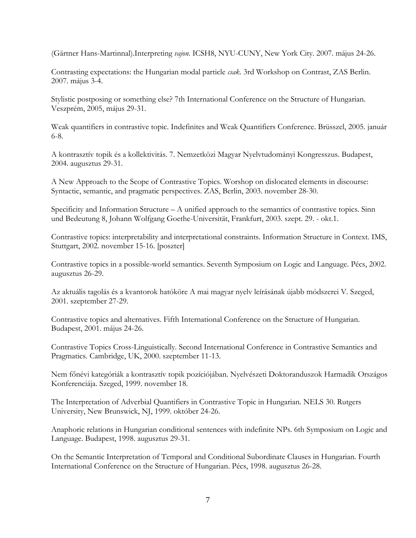(Gärtner Hans-Martinnal).Interpreting *vajon*. ICSH8, NYU-CUNY, New York City. 2007. május 24-26.

Contrasting expectations: the Hungarian modal particle *csak*. 3rd Workshop on Contrast, ZAS Berlin. 2007. május 3-4.

Stylistic postposing or something else? 7th International Conference on the Structure of Hungarian. Veszprém, 2005, május 29-31.

Weak quantifiers in contrastive topic. Indefinites and Weak Quantifiers Conference. Brüsszel, 2005. január 6-8.

A kontrasztív topik és a kollektivitás. 7. Nemzetközi Magyar Nyelvtudományi Kongresszus. Budapest, 2004. augusztus 29-31.

A New Approach to the Scope of Contrastive Topics. Worshop on dislocated elements in discourse: Syntactic, semantic, and pragmatic perspectives. ZAS, Berlin, 2003. november 28-30.

Specificity and Information Structure – A unified approach to the semantics of contrastive topics. Sinn und Bedeutung 8, Johann Wolfgang Goethe-Universität, Frankfurt, 2003. szept. 29. - okt.1.

Contrastive topics: interpretability and interpretational constraints. Information Structure in Context. IMS, Stuttgart, 2002. november 15-16. [poszter]

Contrastive topics in a possible-world semantics. Seventh Symposium on Logic and Language. Pécs, 2002. augusztus 26-29.

Az aktuális tagolás és a kvantorok hatóköre A mai magyar nyelv leírásának újabb módszerei V. Szeged, 2001. szeptember 27-29.

Contrastive topics and alternatives. Fifth International Conference on the Structure of Hungarian. Budapest, 2001. május 24-26.

Contrastive Topics Cross-Linguistically. Second International Conference in Contrastive Semantics and Pragmatics. Cambridge, UK, 2000. szeptember 11-13.

Nem főnévi kategóriák a kontrasztív topik pozíciójában. Nyelvészeti Doktoranduszok Harmadik Országos Konferenciája. Szeged, 1999. november 18.

The Interpretation of Adverbial Quantifiers in Contrastive Topic in Hungarian. NELS 30. Rutgers University, New Brunswick, NJ, 1999. október 24-26.

Anaphoric relations in Hungarian conditional sentences with indefinite NPs. 6th Symposium on Logic and Language. Budapest, 1998. augusztus 29-31.

On the Semantic Interpretation of Temporal and Conditional Subordinate Clauses in Hungarian. Fourth International Conference on the Structure of Hungarian. Pécs, 1998. augusztus 26-28.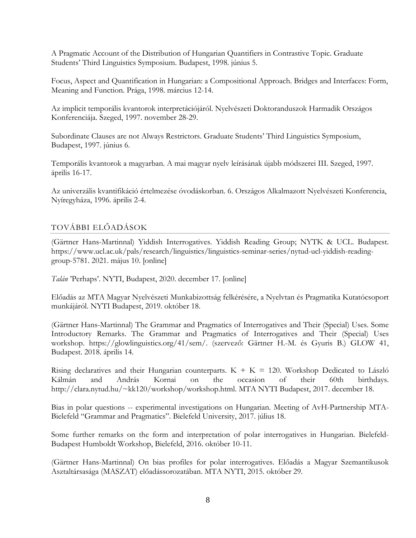A Pragmatic Account of the Distribution of Hungarian Quantifiers in Contrastive Topic. Graduate Students' Third Linguistics Symposium. Budapest, 1998. június 5.

Focus, Aspect and Quantification in Hungarian: a Compositional Approach. Bridges and Interfaces: Form, Meaning and Function. Prága, 1998. március 12-14.

Az implicit temporális kvantorok interpretációjáról. Nyelvészeti Doktoranduszok Harmadik Országos Konferenciája. Szeged, 1997. november 28-29.

Subordinate Clauses are not Always Restrictors. Graduate Students' Third Linguistics Symposium, Budapest, 1997. június 6.

Temporális kvantorok a magyarban. A mai magyar nyelv leírásának újabb módszerei III. Szeged, 1997. április 16-17.

Az univerzális kvantifikáció értelmezése óvodáskorban. 6. Országos Alkalmazott Nyelvészeti Konferencia, Nyíregyháza, 1996. április 2-4.

### TOVÁBBI ELŐADÁSOK

(Gärtner Hans-Martinnal) Yiddish Interrogatives. Yiddish Reading Group; NYTK & UCL. Budapest. https://www.ucl.ac.uk/pals/research/linguistics/linguistics-seminar-series/nytud-ucl-yiddish-readinggroup-5781. 2021. május 10. [online]

*Talán* 'Perhaps'. NYTI, Budapest, 2020. december 17. [online]

Előadás az MTA Magyar Nyelvészeti Munkabizottság felkérésére, a Nyelvtan és Pragmatika Kutatócsoport munkájáról. NYTI Budapest, 2019. október 18.

(Gärtner Hans-Martinnal) The Grammar and Pragmatics of Interrogatives and Their (Special) Uses. Some Introductory Remarks. The Grammar and Pragmatics of Interrogatives and Their (Special) Uses workshop. https://glowlinguistics.org/41/sem/. (szervező: Gärtner H.-M. és Gyuris B.) GLOW 41, Budapest. 2018. április 14.

Rising declaratives and their Hungarian counterparts.  $K + K = 120$ . Workshop Dedicated to László Kálmán and András Kornai on the occasion of their 60th birthdays. http://clara.nytud.hu/~kk120/workshop/workshop.html. MTA NYTI Budapest, 2017. december 18.

Bias in polar questions -- experimental investigations on Hungarian. Meeting of AvH-Partnership MTA-Bielefeld "Grammar and Pragmatics". Bielefeld University, 2017. július 18.

Some further remarks on the form and interpretation of polar interrogatives in Hungarian. Bielefeld-Budapest Humboldt Workshop, Bielefeld, 2016. október 10-11.

(Gärtner Hans-Martinnal) On bias profiles for polar interrogatives. Előadás a Magyar Szemantikusok Asztaltársasága (MASZAT) előadássorozatában. MTA NYTI, 2015. október 29.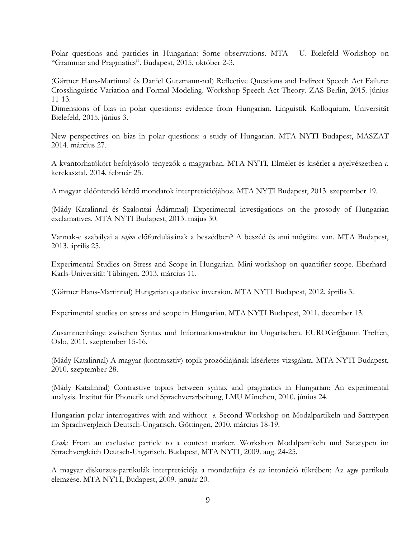Polar questions and particles in Hungarian: Some observations. MTA - U. Bielefeld Workshop on "Grammar and Pragmatics". Budapest, 2015. október 2-3.

(Gärtner Hans-Martinnal és Daniel Gutzmann-nal) Reflective Questions and Indirect Speech Act Failure: Crosslinguistic Variation and Formal Modeling. Workshop Speech Act Theory. ZAS Berlin, 2015. június 11-13.

Dimensions of bias in polar questions: evidence from Hungarian. Linguistik Kolloquium*,* Universität Bielefeld, 2015. június 3.

New perspectives on bias in polar questions: a study of Hungarian. MTA NYTI Budapest, MASZAT 2014. március 27.

A kvantorhatókört befolyásoló tényezők a magyarban. MTA NYTI, Elmélet és kısérlet a nyelvészetben *c.*  kerekasztal. 2014. február 25.

A magyar eldöntendő kérdő mondatok interpretációjához. MTA NYTI Budapest, 2013. szeptember 19.

(Mády Katalinnal és Szalontai Ádámmal) Experimental investigations on the prosody of Hungarian exclamatives. MTA NYTI Budapest, 2013. május 30.

Vannak-e szabályai a *vajon* előfordulásának a beszédben? A beszéd és ami mögötte van. MTA Budapest, 2013. április 25.

Experimental Studies on Stress and Scope in Hungarian. Mini-workshop on quantifier scope. Eberhard-Karls-Universität Tübingen, 2013. március 11.

(Gärtner Hans-Martinnal) Hungarian quotative inversion. MTA NYTI Budapest, 2012. április 3.

Experimental studies on stress and scope in Hungarian. MTA NYTI Budapest, 2011. december 13.

Zusammenhänge zwischen Syntax und Informationsstruktur im Ungarischen. EUROGr@amm Treffen, Oslo, 2011. szeptember 15-16.

(Mády Katalinnal) A magyar (kontrasztív) topik prozódiájának kísérletes vizsgálata. MTA NYTI Budapest, 2010. szeptember 28.

(Mády Katalinnal) Contrastive topics between syntax and pragmatics in Hungarian: An experimental analysis. Institut für Phonetik und Sprachverarbeitung, LMU München, 2010. június 24.

Hungarian polar interrogatives with and without -*e*. Second Workshop on Modalpartikeln und Satztypen im Sprachvergleich Deutsch-Ungarisch. Göttingen, 2010. március 18-19.

*Csak:* From an exclusive particle to a context marker. Workshop Modalpartikeln und Satztypen im Sprachvergleich Deutsch-Ungarisch. Budapest, MTA NYTI, 2009. aug. 24-25.

A magyar diskurzus-partikulák interpretációja a mondatfajta és az intonáció tükrében: Az *ugye* partikula elemzése. MTA NYTI, Budapest, 2009. január 20.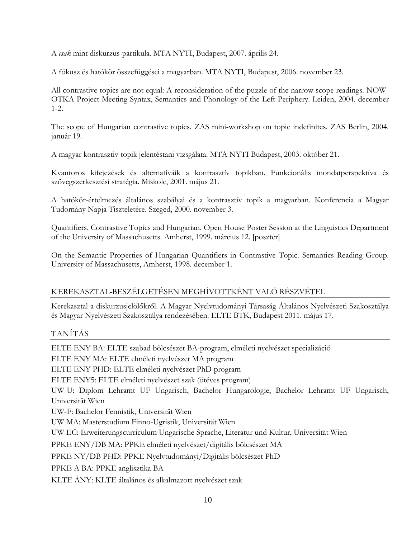A *csak* mint diskurzus-partikula. MTA NYTI, Budapest, 2007. április 24.

A fókusz és hatókör összefüggései a magyarban. MTA NYTI, Budapest, 2006. november 23.

All contrastive topics are not equal: A reconsideration of the puzzle of the narrow scope readings. NOW-OTKA Project Meeting Syntax, Semantics and Phonology of the Left Periphery. Leiden, 2004. december 1-2.

The scope of Hungarian contrastive topics. ZAS mini-workshop on topic indefinites. ZAS Berlin, 2004. január 19.

A magyar kontrasztiv topik jelentéstani vizsgálata. MTA NYTI Budapest, 2003. október 21.

Kvantoros kifejezések és alternatíváik a kontrasztív topikban. Funkcionális mondatperspektíva és szövegszerkesztési stratégia. Miskolc, 2001. május 21.

A hatókör-értelmezés általános szabályai és a kontrasztív topik a magyarban. Konferencia a Magyar Tudomány Napja Tiszteletére. Szeged, 2000. november 3.

Quantifiers, Contrastive Topics and Hungarian. Open House Poster Session at the Linguistics Department of the University of Massachusetts. Amherst, 1999. március 12. [poszter]

On the Semantic Properties of Hungarian Quantifiers in Contrastive Topic. Semantics Reading Group. University of Massachusetts, Amherst, 1998. december 1.

### KEREKASZTAL-BESZÉLGETÉSEN MEGHÍVOTTKÉNT VALÓ RÉSZVÉTEL

Kerekasztal a diskurzusjelölőkről. A Magyar Nyelvtudományi Társaság Általános Nyelvészeti Szakosztálya és Magyar Nyelvészeti Szakosztálya rendezésében. ELTE BTK, Budapest 2011. május 17.

### TANÍTÁS

ELTE ENY BA: ELTE szabad bölcsészet BA-program, elméleti nyelvészet specializáció ELTE ENY MA: ELTE elméleti nyelvészet MA program ELTE ENY PHD: ELTE elméleti nyelvészet PhD program ELTE ENY5: ELTE elméleti nyelvészet szak (ötéves program) UW-U: Diplom Lehramt UF Ungarisch, Bachelor Hungarologie, Bachelor Lehramt UF Ungarisch, Universität Wien UW-F: Bachelor Fennistik, Universität Wien UW MA: Masterstudium Finno-Ugristik, Universität Wien UW EC: Erweiterungscurriculum Ungarische Sprache, Literatur und Kultur, Universität Wien PPKE ENY/DB MA: PPKE elméleti nyelvészet/digitális bölcsészet MA PPKE NY/DB PHD: PPKE Nyelvtudományi/Digitális bölcsészet PhD PPKE A BA: PPKE anglisztika BA KLTE ÁNY: KLTE általános és alkalmazott nyelvészet szak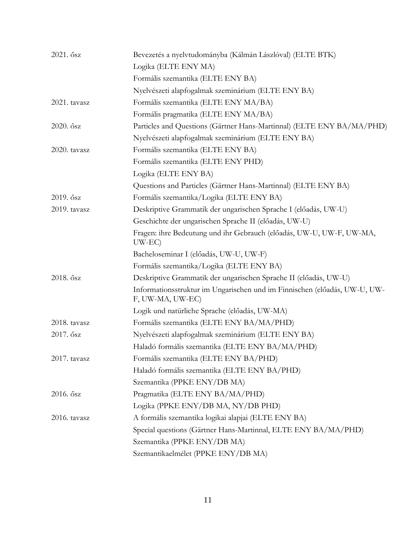| 2021. ősz    | Bevezetés a nyelvtudományba (Kálmán Lászlóval) (ELTE BTK)                                     |
|--------------|-----------------------------------------------------------------------------------------------|
|              | Logika (ELTE ENY MA)                                                                          |
|              | Formális szemantika (ELTE ENY BA)                                                             |
|              | Nyelvészeti alapfogalmak szeminárium (ELTE ENY BA)                                            |
| 2021. tavasz | Formális szemantika (ELTE ENY MA/BA)                                                          |
|              | Formális pragmatika (ELTE ENY MA/BA)                                                          |
| 2020. ősz    | Particles and Questions (Gärtner Hans-Martinnal) (ELTE ENY BA/MA/PHD)                         |
|              | Nyelvészeti alapfogalmak szeminárium (ELTE ENY BA)                                            |
| 2020. tavasz | Formális szemantika (ELTE ENY BA)                                                             |
|              | Formális szemantika (ELTE ENY PHD)                                                            |
|              | Logika (ELTE ENY BA)                                                                          |
|              | Questions and Particles (Gärtner Hans-Martinnal) (ELTE ENY BA)                                |
| 2019. ősz    | Formális szemantika/Logika (ELTE ENY BA)                                                      |
| 2019. tavasz | Deskriptive Grammatik der ungarischen Sprache I (előadás, UW-U)                               |
|              | Geschichte der ungarischen Sprache II (előadás, UW-U)                                         |
|              | Fragen: ihre Bedeutung und ihr Gebrauch (előadás, UW-U, UW-F, UW-MA,<br>$UW-EC$               |
|              | Bacheloseminar I (előadás, UW-U, UW-F)                                                        |
|              | Formális szemantika/Logika (ELTE ENY BA)                                                      |
| 2018. ősz    | Deskriptive Grammatik der ungarischen Sprache II (előadás, UW-U)                              |
|              | Informationsstruktur im Ungarischen und im Finnischen (előadás, UW-U, UW-<br>F, UW-MA, UW-EC) |
|              | Logik und natürliche Sprache (előadás, UW-MA)                                                 |
| 2018. tavasz | Formális szemantika (ELTE ENY BA/MA/PHD)                                                      |
| 2017. ősz    | Nyelvészeti alapfogalmak szeminárium (ELTE ENY BA)                                            |
|              | Haladó formális szemantika (ELTE ENY BA/MA/PHD)                                               |
| 2017. tavasz | Formális szemantika (ELTE ENY BA/PHD)                                                         |
|              | Haladó formális szemantika (ELTE ENY BA/PHD)                                                  |
|              | Szemantika (PPKE ENY/DB MA)                                                                   |
| 2016. ősz    | Pragmatika (ELTE ENY BA/MA/PHD)                                                               |
|              | Logika (PPKE ENY/DB MA, NY/DB PHD)                                                            |
| 2016. tavasz | A formális szemantika logikai alapjai (ELTE ENY BA)                                           |
|              | Special questions (Gärtner Hans-Martinnal, ELTE ENY BA/MA/PHD)                                |
|              | Szemantika (PPKE ENY/DB MA)                                                                   |
|              | Szemantikaelmélet (PPKE ENY/DB MA)                                                            |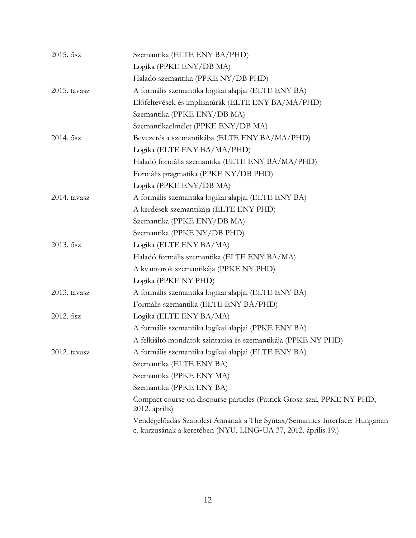| 2015. ősz    | Szemantika (ELTE ENY BA/PHD)                                                                                                                  |
|--------------|-----------------------------------------------------------------------------------------------------------------------------------------------|
|              | Logika (PPKE ENY/DB MA)                                                                                                                       |
|              | Haladó szemantika (PPKE NY/DB PHD)                                                                                                            |
| 2015. tavasz | A formális szemantika logikai alapjai (ELTE ENY BA)                                                                                           |
|              | Előfeltevések és implikatúrák (ELTE ENY BA/MA/PHD)                                                                                            |
|              | Szemantika (PPKE ENY/DB MA)                                                                                                                   |
|              | Szemantikaelmélet (PPKE ENY/DB MA)                                                                                                            |
| 2014. ősz    | Bevezetés a szemantikába (ELTE ENY BA/MA/PHD)                                                                                                 |
|              | Logika (ELTE ENY BA/MA/PHD)                                                                                                                   |
|              | Haladó formális szemantika (ELTE ENY BA/MA/PHD)                                                                                               |
|              | Formális pragmatika (PPKE NY/DB PHD)                                                                                                          |
|              | Logika (PPKE ENY/DB MA)                                                                                                                       |
| 2014. tavasz | A formális szemantika logikai alapjai (ELTE ENY BA)                                                                                           |
|              | A kérdések szemantikája (ELTE ENY PHD)                                                                                                        |
|              | Szemantika (PPKE ENY/DB MA)                                                                                                                   |
|              | Szemantika (PPKE NY/DB PHD)                                                                                                                   |
| 2013. ősz    | Logika (ELTE ENY BA/MA)                                                                                                                       |
|              | Haladó formális szemantika (ELTE ENY BA/MA)                                                                                                   |
|              | A kvantorok szemantikája (PPKE NY PHD)                                                                                                        |
|              | Logika (PPKE NY PHD)                                                                                                                          |
| 2013. tavasz | A formális szemantika logikai alapjai (ELTE ENY BA)                                                                                           |
|              | Formális szemantika (ELTE ENY BA/PHD)                                                                                                         |
| 2012. ősz    | Logika (ELTE ENY BA/MA)                                                                                                                       |
|              | A formális szemantika logikai alapjai (PPKE ENY BA)                                                                                           |
|              | A felkiáltó mondatok szintaxisa és szemantikája (PPKE NY PHD)                                                                                 |
| 2012. tavasz | A formális szemantika logikai alapjai (ELTE ENY BA)                                                                                           |
|              | Szemantika (ELTE ENY BA)                                                                                                                      |
|              | Szemantika (PPKE ENY MA)                                                                                                                      |
|              | Szemantika (PPKE ENY BA)                                                                                                                      |
|              | Compact course on discourse particles (Patrick Grosz-szal, PPKE NY PHD,<br>2012. április)                                                     |
|              | Vendégelőadás Szabolcsi Annának a The Syntax/Semantics Interface: Hungarian<br>c. kurzusának a keretében (NYU, LING-UA 37, 2012. április 19.) |
|              |                                                                                                                                               |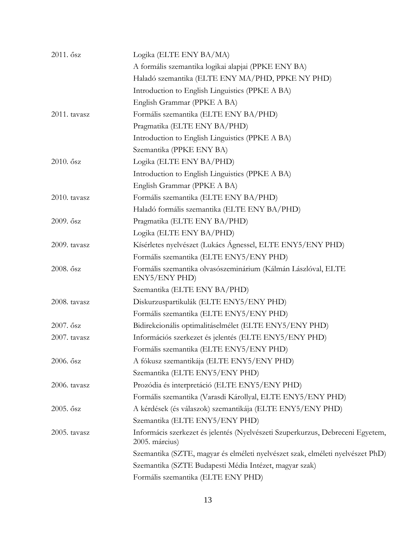| 2011. ősz    | Logika (ELTE ENY BA/MA)                                                                          |
|--------------|--------------------------------------------------------------------------------------------------|
|              | A formális szemantika logikai alapjai (PPKE ENY BA)                                              |
|              | Haladó szemantika (ELTE ENY MA/PHD, PPKE NY PHD)                                                 |
|              | Introduction to English Linguistics (PPKE A BA)                                                  |
|              | English Grammar (PPKE A BA)                                                                      |
| 2011. tavasz | Formális szemantika (ELTE ENY BA/PHD)                                                            |
|              | Pragmatika (ELTE ENY BA/PHD)                                                                     |
|              | Introduction to English Linguistics (PPKE A BA)                                                  |
|              | Szemantika (PPKE ENY BA)                                                                         |
| 2010. ősz    | Logika (ELTE ENY BA/PHD)                                                                         |
|              | Introduction to English Linguistics (PPKE A BA)                                                  |
|              | English Grammar (PPKE A BA)                                                                      |
| 2010. tavasz | Formális szemantika (ELTE ENY BA/PHD)                                                            |
|              | Haladó formális szemantika (ELTE ENY BA/PHD)                                                     |
| 2009. ősz    | Pragmatika (ELTE ENY BA/PHD)                                                                     |
|              | Logika (ELTE ENY BA/PHD)                                                                         |
| 2009. tavasz | Kísérletes nyelvészet (Lukács Ágnessel, ELTE ENY5/ENY PHD)                                       |
|              | Formális szemantika (ELTE ENY5/ENY PHD)                                                          |
| 2008. ősz    | Formális szemantika olvasószeminárium (Kálmán Lászlóval, ELTE<br>ENY5/ENY PHD)                   |
|              | Szemantika (ELTE ENY BA/PHD)                                                                     |
| 2008. tavasz | Diskurzuspartikulák (ELTE ENY5/ENY PHD)                                                          |
|              | Formális szemantika (ELTE ENY5/ENY PHD)                                                          |
| 2007. ősz    | Bidirekcionális optimalitáselmélet (ELTE ENY5/ENY PHD)                                           |
| 2007. tavasz | Információs szerkezet és jelentés (ELTE ENY5/ENY PHD)                                            |
|              | Formális szemantika (ELTE ENY5/ENY PHD)                                                          |
| 2006. ősz    | A fókusz szemantikája (ELTE ENY5/ENY PHD)                                                        |
|              | Szemantika (ELTE ENY5/ENY PHD)                                                                   |
| 2006. tavasz | Prozódia és interpretáció (ELTE ENY5/ENY PHD)                                                    |
|              | Formális szemantika (Varasdi Károllyal, ELTE ENY5/ENY PHD)                                       |
| 2005. ősz    | A kérdések (és válaszok) szemantikája (ELTE ENY5/ENY PHD)                                        |
|              | Szemantika (ELTE ENY5/ENY PHD)                                                                   |
| 2005. tavasz | Informácis szerkezet és jelentés (Nyelvészeti Szuperkurzus, Debreceni Egyetem,<br>2005. március) |
|              | Szemantika (SZTE, magyar és elméleti nyelvészet szak, elméleti nyelvészet PhD)                   |
|              | Szemantika (SZTE Budapesti Média Intézet, magyar szak)                                           |
|              | Formális szemantika (ELTE ENY PHD)                                                               |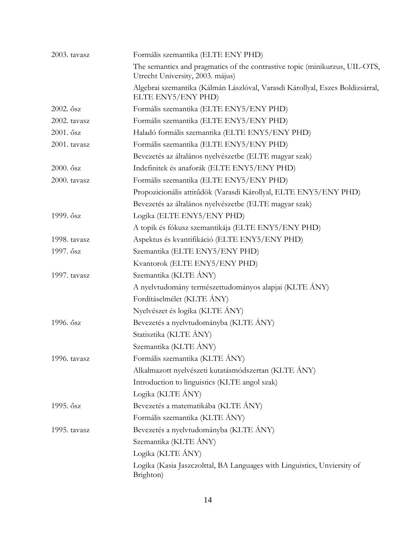| 2003. tavasz | Formális szemantika (ELTE ENY PHD)                                                                              |
|--------------|-----------------------------------------------------------------------------------------------------------------|
|              | The semantics and pragmatics of the contrastive topic (minikurzus, UIL-OTS,<br>Utrecht University, 2003. május) |
|              | Algebrai szemantika (Kálmán Lászlóval, Varasdi Károllyal, Eszes Boldizsárral,<br>ELTE ENY5/ENY PHD)             |
| 2002. ősz    | Formális szemantika (ELTE ENY5/ENY PHD)                                                                         |
| 2002. tavasz | Formális szemantika (ELTE ENY5/ENY PHD)                                                                         |
| 2001. ősz    | Haladó formális szemantika (ELTE ENY5/ENY PHD)                                                                  |
| 2001. tavasz | Formális szemantika (ELTE ENY5/ENY PHD)                                                                         |
|              | Bevezetés az általános nyelvészetbe (ELTE magyar szak)                                                          |
| 2000. ősz    | Indefinitek és anaforák (ELTE ENY5/ENY PHD)                                                                     |
| 2000. tavasz | Formális szemantika (ELTE ENY5/ENY PHD)                                                                         |
|              | Propozicionális attitűdök (Varasdi Károllyal, ELTE ENY5/ENY PHD)                                                |
|              | Bevezetés az általános nyelvészetbe (ELTE magyar szak)                                                          |
| 1999. ősz    | Logika (ELTE ENY5/ENY PHD)                                                                                      |
|              | A topik és fókusz szemantikája (ELTE ENY5/ENY PHD)                                                              |
| 1998. tavasz | Aspektus és kvantifikáció (ELTE ENY5/ENY PHD)                                                                   |
| 1997. ősz    | Szemantika (ELTE ENY5/ENY PHD)                                                                                  |
|              | Kvantorok (ELTE ENY5/ENY PHD)                                                                                   |
| 1997. tavasz | Szemantika (KLTE ÁNY)                                                                                           |
|              | A nyelvtudomány természettudományos alapjai (KLTE ÁNY)                                                          |
|              | Fordításelmélet (KLTE ÁNY)                                                                                      |
|              | Nyelvészet és logika (KLTE ÁNY)                                                                                 |
| 1996. ősz    | Bevezetés a nyelvtudományba (KLTE ÁNY)                                                                          |
|              | Statisztika (KLTE ÁNY)                                                                                          |
|              | Szemantika (KLTE ÁNY)                                                                                           |
| 1996. tavasz | Formális szemantika (KLTE ÁNY)                                                                                  |
|              | Alkalmazott nyelvészeti kutatásmódszertan (KLTE ÁNY)                                                            |
|              | Introduction to linguistics (KLTE angol szak)                                                                   |
|              | Logika (KLTE ÁNY)                                                                                               |
| 1995. ősz    | Bevezetés a matematikába (KLTE ÁNY)                                                                             |
|              | Formális szemantika (KLTE ÁNY)                                                                                  |
| 1995. tavasz | Bevezetés a nyelvtudományba (KLTE ÁNY)                                                                          |
|              | Szemantika (KLTE ÁNY)                                                                                           |
|              | Logika (KLTE ÁNY)                                                                                               |
|              | Logika (Kasia Jaszczolttal, BA Languages with Linguistics, Unviersity of<br>Brighton)                           |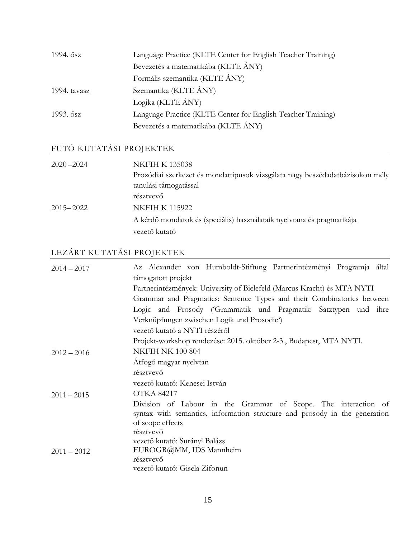| 1994. ősz    | Language Practice (KLTE Center for English Teacher Training) |
|--------------|--------------------------------------------------------------|
|              | Bevezetés a matematikába (KLTE ÁNY)                          |
|              | Formális szemantika (KLTE ÁNY)                               |
| 1994. tavasz | Szemantika (KLTE ÁNY)                                        |
|              | Logika (KLTE ÁNY)                                            |
| 1993. ősz    | Language Practice (KLTE Center for English Teacher Training) |
|              | Bevezetés a matematikába (KLTE ÁNY)                          |

## FUTÓ KUTATÁSI PROJEKTEK

| $2020 - 2024$ | <b>NKFIH K 135038</b>                                                         |
|---------------|-------------------------------------------------------------------------------|
|               | Prozódiai szerkezet és mondattípusok vizsgálata nagy beszédadatbázisokon mély |
|               | tanulási támogatással                                                         |
|               | résztvevő                                                                     |
| $2015 - 2022$ | <b>NKFIH K 115922</b>                                                         |
|               | A kérdő mondatok és (speciális) használataik nyelvtana és pragmatikája        |
|               | vezető kutató                                                                 |

# LEZÁRT KUTATÁSI PROJEKTEK

| $2014 - 2017$ | Az Alexander von Humboldt-Stiftung Partnerintézményi Programja által                                                                                             |
|---------------|------------------------------------------------------------------------------------------------------------------------------------------------------------------|
|               | támogatott projekt                                                                                                                                               |
|               | Partnerintézmények: University of Bielefeld (Marcus Kracht) és MTA NYTI                                                                                          |
|               | Grammar and Pragmatics: Sentence Types and their Combinatorics between                                                                                           |
|               | Logic and Prosody ('Grammatik und Pragmatik: Satztypen und ihre                                                                                                  |
|               | Verknüpfungen zwischen Logik und Prosodie <sup>6</sup>                                                                                                           |
|               | vezető kutató a NYTI részéről                                                                                                                                    |
|               | Projekt-workshop rendezése: 2015. október 2-3., Budapest, MTA NYTI.                                                                                              |
| $2012 - 2016$ | <b>NKFIH NK 100 804</b>                                                                                                                                          |
|               | Atfogó magyar nyelvtan                                                                                                                                           |
|               | résztvevő                                                                                                                                                        |
|               | vezető kutató: Kenesei István                                                                                                                                    |
| $2011 - 2015$ | <b>OTKA 84217</b>                                                                                                                                                |
|               | Division of Labour in the Grammar of Scope. The interaction of<br>syntax with semantics, information structure and prosody in the generation<br>of scope effects |
|               | résztvevő                                                                                                                                                        |
|               | vezető kutató: Surányi Balázs                                                                                                                                    |
| $2011 - 2012$ | EUROGR@MM, IDS Mannheim                                                                                                                                          |
|               | résztvevő                                                                                                                                                        |
|               | vezető kutató: Gisela Zifonun                                                                                                                                    |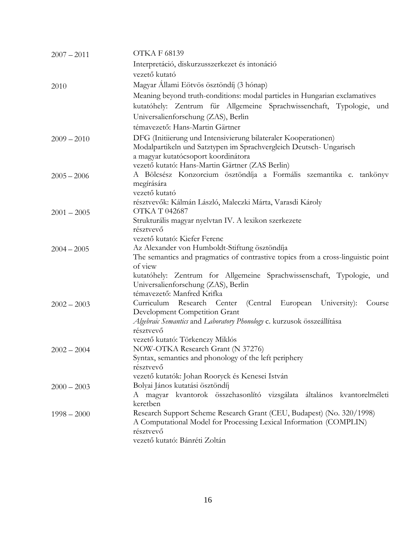| $2007 - 2011$ | <b>OTKAF 68139</b>                                                                                                                   |
|---------------|--------------------------------------------------------------------------------------------------------------------------------------|
|               | Interpretáció, diskurzusszerkezet és intonáció                                                                                       |
|               | vezető kutató                                                                                                                        |
| 2010          | Magyar Állami Eötvös ösztöndíj (3 hónap)                                                                                             |
|               | Meaning beyond truth-conditions: modal particles in Hungarian exclamatives                                                           |
|               | kutatóhely: Zentrum für Allgemeine Sprachwissenchaft, Typologie, und                                                                 |
|               | Universalienforschung (ZAS), Berlin                                                                                                  |
|               | témavezető: Hans-Martin Gärtner                                                                                                      |
|               |                                                                                                                                      |
| $2009 - 2010$ | DFG (Initiierung und Intensivierung bilateraler Kooperationen)<br>Modalpartikeln und Satztypen im Sprachvergleich Deutsch- Ungarisch |
|               | a magyar kutatócsoport koordinátora                                                                                                  |
|               | vezető kutató: Hans-Martin Gärtner (ZAS Berlin)                                                                                      |
| $2005 - 2006$ | A Bölcsész Konzorcium ösztöndíja a Formális szemantika c. tankönyv                                                                   |
|               | megírására                                                                                                                           |
|               | vezető kutató                                                                                                                        |
|               | résztvevők: Kálmán László, Maleczki Márta, Varasdi Károly                                                                            |
| $2001 - 2005$ | OTKA T 042687                                                                                                                        |
|               | Strukturális magyar nyelvtan IV. A lexikon szerkezete                                                                                |
|               | résztvevő                                                                                                                            |
|               | vezető kutató: Kiefer Ferenc                                                                                                         |
| $2004 - 2005$ | Az Alexander von Humboldt-Stiftung ösztöndíja<br>The semantics and pragmatics of contrastive topics from a cross-linguistic point    |
|               | of view                                                                                                                              |
|               | kutatóhely: Zentrum for Allgemeine Sprachwissenschaft, Typologie, und                                                                |
|               | Universalienforschung (ZAS), Berlin                                                                                                  |
|               | témavezető: Manfred Krifka                                                                                                           |
| $2002 - 2003$ | Curriculum Research Center (Central<br>European University):<br>Course                                                               |
|               | Development Competition Grant                                                                                                        |
|               | Algebraic Semantics and Laboratory Phonology c. kurzusok összeállítása                                                               |
|               | résztvevő                                                                                                                            |
|               | vezető kutató: Törkenczy Miklós<br>NOW-OTKA Research Grant (N 37276)                                                                 |
| $2002 - 2004$ | Syntax, semantics and phonology of the left periphery                                                                                |
|               | résztvevő                                                                                                                            |
|               | vezető kutatók: Johan Rooryck és Kenesei István                                                                                      |
| $2000 - 2003$ | Bolyai János kutatási ösztöndíj                                                                                                      |
|               | A magyar kvantorok összehasonlító vizsgálata általános kvantorelméleti                                                               |
|               | keretben                                                                                                                             |
| $1998 - 2000$ | Research Support Scheme Research Grant (CEU, Budapest) (No. 320/1998)                                                                |
|               | A Computational Model for Processing Lexical Information (COMPLIN)                                                                   |
|               | résztvevő                                                                                                                            |
|               | vezető kutató: Bánréti Zoltán                                                                                                        |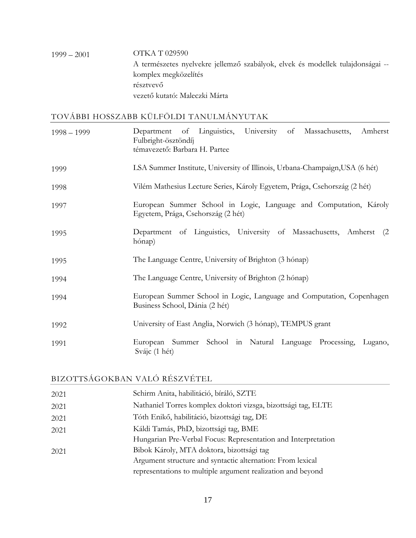### 1999 – 2001 OTKA T 029590 A természetes nyelvekre jellemző szabályok, elvek és modellek tulajdonságai - komplex megközelítés résztvevő vezető kutató: Maleczki Márta

#### TOVÁBBI HOSSZABB KÜLFÖLDI TANULMÁNYUTAK

| $1998 - 1999$ | of Linguistics, University of Massachusetts,<br>Amherst<br>Department<br>Fulbright-ösztöndíj<br>témavezető: Barbara H. Partee |
|---------------|-------------------------------------------------------------------------------------------------------------------------------|
| 1999          | LSA Summer Institute, University of Illinois, Urbana-Champaign, USA (6 hét)                                                   |
| 1998          | Vilém Mathesius Lecture Series, Károly Egyetem, Prága, Csehország (2 hét)                                                     |
| 1997          | European Summer School in Logic, Language and Computation, Károly<br>Egyetem, Prága, Csehország (2 hét)                       |
| 1995          | Department of Linguistics, University of Massachusetts, Amherst<br>(2)<br>hónap)                                              |
| 1995          | The Language Centre, University of Brighton (3 hónap)                                                                         |
| 1994          | The Language Centre, University of Brighton (2 hónap)                                                                         |
| 1994          | European Summer School in Logic, Language and Computation, Copenhagen<br>Business School, Dánia (2 hét)                       |
| 1992          | University of East Anglia, Norwich (3 hónap), TEMPUS grant                                                                    |
| 1991          | European Summer School in Natural Language Processing,<br>Lugano,<br>Svájc (1 hét)                                            |

### BIZOTTSÁGOKBAN VALÓ RÉSZVÉTEL

| 2021 | Schirm Anita, habilitáció, bíráló, SZTE                       |
|------|---------------------------------------------------------------|
| 2021 | Nathaniel Torres komplex doktori vizsga, bizottsági tag, ELTE |
| 2021 | Tóth Enikő, habilitáció, bizottsági tag, DE                   |
| 2021 | Káldi Tamás, PhD, bizottsági tag, BME                         |
|      | Hungarian Pre-Verbal Focus: Representation and Interpretation |
| 2021 | Bibok Károly, MTA doktora, bizottsági tag                     |
|      | Argument structure and syntactic alternation: From lexical    |
|      | representations to multiple argument realization and beyond   |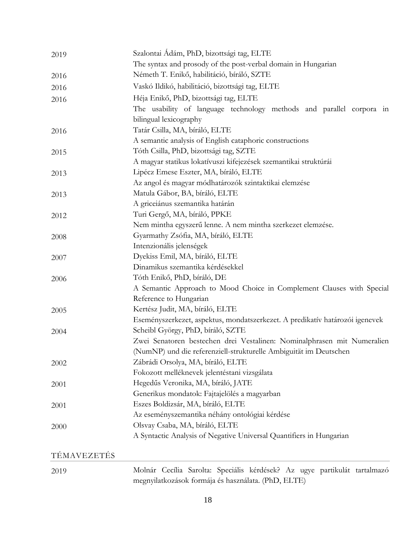| 2019 | Szalontai Ádám, PhD, bizottsági tag, ELTE                                    |
|------|------------------------------------------------------------------------------|
|      | The syntax and prosody of the post-verbal domain in Hungarian                |
| 2016 | Németh T. Enikő, habilitáció, bíráló, SZTE                                   |
| 2016 | Vaskó Ildikó, habilitáció, bizottsági tag, ELTE                              |
| 2016 | Héja Enikő, PhD, bizottsági tag, ELTE                                        |
|      | The usability of language technology methods and parallel corpora in         |
|      | bilingual lexicography                                                       |
| 2016 | Tatár Csilla, MA, bíráló, ELTE                                               |
|      | A semantic analysis of English cataphoric constructions                      |
| 2015 | Tóth Csilla, PhD, bizottsági tag, SZTE                                       |
|      | A magyar statikus lokatívuszi kifejezések szemantikai struktúrái             |
| 2013 | Lipécz Emese Eszter, MA, bíráló, ELTE                                        |
|      | Az angol és magyar módhatározók szintaktikai elemzése                        |
| 2013 | Matula Gábor, BA, bíráló, ELTE                                               |
|      | A griceiánus szemantika határán                                              |
| 2012 | Turi Gergő, MA, bíráló, PPKE                                                 |
|      | Nem mintha egyszerű lenne. A nem mintha szerkezet elemzése.                  |
| 2008 | Gyarmathy Zsófia, MA, bíráló, ELTE                                           |
|      | Intenzionális jelenségek                                                     |
| 2007 | Dyekiss Emil, MA, bíráló, ELTE                                               |
|      | Dinamikus szemantika kérdésekkel                                             |
| 2006 | Tóth Enikő, PhD, bíráló, DE                                                  |
|      | A Semantic Approach to Mood Choice in Complement Clauses with Special        |
|      | Reference to Hungarian                                                       |
| 2005 | Kertész Judit, MA, bíráló, ELTE                                              |
|      | Eseményszerkezet, aspektus, mondatszerkezet. A predikatív határozói igenevek |
| 2004 | Scheibl György, PhD, bíráló, SZTE                                            |
|      | Zwei Senatoren bestechen drei Vestalinen: Nominalphrasen mit Numeralien      |
|      | (NumNP) und die referenziell-strukturelle Ambiguität im Deutschen            |
| 2002 | Zábrádi Orsolya, MA, bíráló, ELTE                                            |
|      | Fokozott melléknevek jelentéstani vizsgálata                                 |
| 2001 | Hegedűs Veronika, MA, bíráló, JATE                                           |
|      | Generikus mondatok: Fajtajelölés a magyarban                                 |
| 2001 | Eszes Boldizsár, MA, bíráló, ELTE                                            |
|      | Az eseményszemantika néhány ontológiai kérdése                               |
| 2000 | Olsvay Csaba, MA, bíráló, ELTE                                               |
|      | A Syntactic Analysis of Negative Universal Quantifiers in Hungarian          |
|      |                                                                              |

## TÉMAVEZETÉS

| 2019 |  |  |                                                     |  | Molnár Cecília Sarolta: Speciális kérdések? Az ugye partikulát tartalmazó |
|------|--|--|-----------------------------------------------------|--|---------------------------------------------------------------------------|
|      |  |  | megnyilatkozások formája és használata. (PhD, ELTE) |  |                                                                           |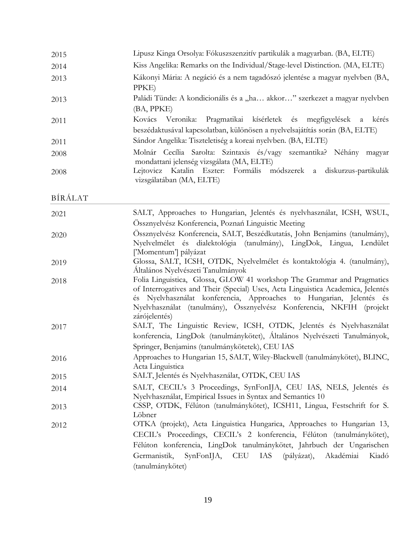| 2015 | Lipusz Kinga Orsolya: Fókuszszenzitív partikulák a magyarban. (BA, ELTE)                                                                        |
|------|-------------------------------------------------------------------------------------------------------------------------------------------------|
| 2014 | Kiss Angelika: Remarks on the Individual/Stage-level Distinction. (MA, ELTE)                                                                    |
| 2013 | Kákonyi Mária: A negáció és a nem tagadószó jelentése a magyar nyelvben (BA,<br>PPKE)                                                           |
| 2013 | Paládi Tünde: A kondicionális és a "ha akkor" szerkezet a magyar nyelvben<br>(BA, PPKE)                                                         |
| 2011 | Kovács Veronika: Pragmatikai kísérletek és megfigyelések a kérés<br>beszédaktusával kapcsolatban, különösen a nyelvelsajátítás során (BA, ELTE) |
| 2011 | Sándor Angelika: Tiszteletiség a koreai nyelvben. (BA, ELTE)                                                                                    |
| 2008 | Molnár Cecília Sarolta: Szintaxis és/vagy szemantika? Néhány magyar<br>mondattani jelenség vizsgálata (MA, ELTE)                                |
| 2008 | Lejtovicz Katalin Eszter: Formális módszerek a diskurzus-partikulák<br>vizsgálatában (MA, ELTE)                                                 |

BÍRÁLAT

| 2021 | SALT, Approaches to Hungarian, Jelentés és nyelvhasználat, ICSH, WSUL,                                                                                                                                                                                                                                                     |
|------|----------------------------------------------------------------------------------------------------------------------------------------------------------------------------------------------------------------------------------------------------------------------------------------------------------------------------|
|      | Össznyelvész Konferencia, Poznań Linguistic Meeting                                                                                                                                                                                                                                                                        |
| 2020 | Össznyelvész Konferencia, SALT, Beszédkutatás, John Benjamins (tanulmány),<br>Nyelvelmélet és dialektológia (tanulmány), LingDok, Lingua, Lendület<br>['Momentum'] pályázat                                                                                                                                                |
| 2019 | Glossa, SALT, ICSH, OTDK, Nyelvelmélet és kontaktológia 4. (tanulmány),<br>Általános Nyelvészeti Tanulmányok                                                                                                                                                                                                               |
| 2018 | Folia Linguistica, Glossa, GLOW 41 workshop The Grammar and Pragmatics<br>of Interrogatives and Their (Special) Uses, Acta Linguistica Academica, Jelentés<br>és Nyelvhasználat konferencia, Approaches to Hungarian, Jelentés és<br>Nyelvhasználat (tanulmány), Össznyelvész Konferencia, NKFIH (projekt<br>zárójelentés) |
| 2017 | SALT, The Linguistic Review, ICSH, OTDK, Jelentés és Nyelvhasználat<br>konferencia, LingDok (tanulmánykötet), Általános Nyelvészeti Tanulmányok,<br>Springer, Benjamins (tanulmánykötetek), CEU IAS                                                                                                                        |
| 2016 | Approaches to Hungarian 15, SALT, Wiley-Blackwell (tanulmánykötet), BLINC,<br>Acta Linguistica                                                                                                                                                                                                                             |
| 2015 | SALT, Jelentés és Nyelvhasználat, OTDK, CEU IAS                                                                                                                                                                                                                                                                            |
| 2014 | SALT, CECIL's 3 Proceedings, SynFonIJA, CEU IAS, NELS, Jelentés és<br>Nyelvhasználat, Empirical Issues in Syntax and Semantics 10                                                                                                                                                                                          |
| 2013 | CSSP, OTDK, Félúton (tanulmánykötet), ICSH11, Lingua, Festschrift for S.<br>Löbner                                                                                                                                                                                                                                         |
| 2012 | OTKA (projekt), Acta Linguistica Hungarica, Approaches to Hungarian 13,<br>CECIL's Proceedings, CECIL's 2 konferencia, Félúton (tanulmánykötet),<br>Félúton konferencia, LingDok tanulmánykötet, Jahrbuch der Ungarischen<br>Germanistik, SynFonIJA, CEU IAS (pályázat), Akadémiai<br>Kiadó<br>(tanulmánykötet)            |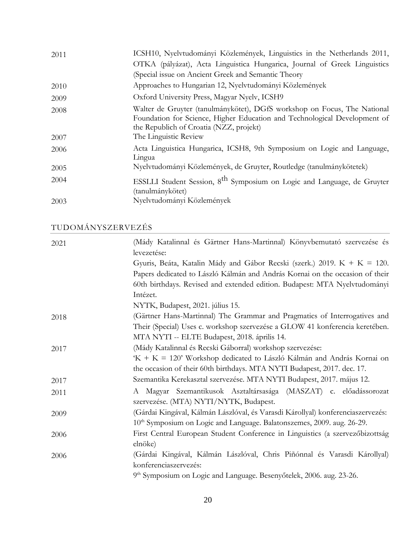| 2011 | ICSH10, Nyelvtudományi Közlemények, Linguistics in the Netherlands 2011,                                                                                                                         |
|------|--------------------------------------------------------------------------------------------------------------------------------------------------------------------------------------------------|
|      | OTKA (pályázat), Acta Linguistica Hungarica, Journal of Greek Linguistics                                                                                                                        |
|      | (Special issue on Ancient Greek and Semantic Theory                                                                                                                                              |
| 2010 | Approaches to Hungarian 12, Nyelvtudományi Közlemények                                                                                                                                           |
| 2009 | Oxford University Press, Magyar Nyelv, ICSH9                                                                                                                                                     |
| 2008 | Walter de Gruyter (tanulmánykötet), DGfS workshop on Focus, The National<br>Foundation for Science, Higher Education and Technological Development of<br>the Republich of Croatia (NZZ, projekt) |
| 2007 | The Linguistic Review                                                                                                                                                                            |
| 2006 | Acta Linguistica Hungarica, ICSH8, 9th Symposium on Logic and Language,<br>Lingua                                                                                                                |
| 2005 | Nyelvtudományi Közlemények, de Gruyter, Routledge (tanulmánykötetek)                                                                                                                             |
| 2004 | ESSLLI Student Session, 8 <sup>th</sup> Symposium on Logic and Language, de Gruyter<br>(tanulmánykötet)                                                                                          |
| 2003 | Nyelvtudományi Közlemények                                                                                                                                                                       |

TUDOMÁNYSZERVEZÉS

| 2021 | (Mády Katalinnal és Gärtner Hans-Martinnal) Könyvbemutató szervezése és<br>levezetése: |
|------|----------------------------------------------------------------------------------------|
|      | Gyuris, Beáta, Katalin Mády and Gábor Recski (szerk.) 2019. K + K = 120.               |
|      | Papers dedicated to László Kálmán and András Kornai on the occasion of their           |
|      | 60th birthdays. Revised and extended edition. Budapest: MTA Nyelvtudományi             |
|      | Intézet.                                                                               |
|      | NYTK, Budapest, 2021. július 15.                                                       |
| 2018 | (Gärtner Hans-Martinnal) The Grammar and Pragmatics of Interrogatives and              |
|      | Their (Special) Uses c. workshop szervezése a GLOW 41 konferencia keretében.           |
|      | MTA NYTI -- ELTE Budapest, 2018. április 14.                                           |
| 2017 | (Mády Katalinnal és Recski Gáborral) workshop szervezése:                              |
|      | 'K + K = 120' Workshop dedicated to László Kálmán and András Kornai on                 |
|      | the occasion of their 60th birthdays. MTA NYTI Budapest, 2017. dec. 17.                |
| 2017 | Szemantika Kerekasztal szervezése. MTA NYTI Budapest, 2017. május 12.                  |
| 2011 | A Magyar Szemantikusok Asztaltársasága (MASZAT) c. előadássorozat                      |
|      | szervezése. (MTA) NYTI/NYTK, Budapest.                                                 |
| 2009 | (Gárdai Kingával, Kálmán Lászlóval, és Varasdi Károllyal) konferenciaszervezés:        |
|      | 10 <sup>th</sup> Symposium on Logic and Language. Balatonszemes, 2009. aug. 26-29.     |
| 2006 | First Central European Student Conference in Linguistics (a szervezőbizottság          |
|      | elnöke)                                                                                |
| 2006 | (Gárdai Kingával, Kálmán Lászlóval, Chris Piñónnal és Varasdi Károllyal)               |
|      | konferenciaszervezés:                                                                  |
|      | 9 <sup>th</sup> Symposium on Logic and Language. Besenyőtelek, 2006. aug. 23-26.       |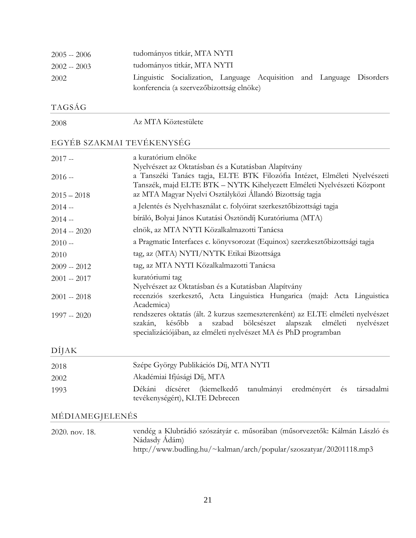| $2005 - 2006$ | tudományos titkár, MTA NYTI                                           |  |  |  |
|---------------|-----------------------------------------------------------------------|--|--|--|
| $2002 - 2003$ | tudományos titkár, MTA NYTI                                           |  |  |  |
| 2002          | Linguistic Socialization, Language Acquisition and Language Disorders |  |  |  |
|               | konferencia (a szervezőbizottság elnöke)                              |  |  |  |

## TAGSÁG

2008 Az MTA Köztestülete

## EGYÉB SZAKMAI TEVÉKENYSÉG

| $2017 -$      | a kuratórium elnöke                                                                                                                                                                                                   |
|---------------|-----------------------------------------------------------------------------------------------------------------------------------------------------------------------------------------------------------------------|
|               | Nyelvészet az Oktatásban és a Kutatásban Alapítvány<br>a Tanszéki Tanács tagja, ELTE BTK Filozófia Intézet, Elméleti Nyelvészeti                                                                                      |
| $2016 -$      | Tanszék, majd ELTE BTK – NYTK Kihelyezett Elméleti Nyelvészeti Központ                                                                                                                                                |
| $2015 - 2018$ | az MTA Magyar Nyelvi Osztályközi Állandó Bizottság tagja                                                                                                                                                              |
| $2014 -$      | a Jelentés és Nyelvhasználat c. folyóirat szerkesztőbizottsági tagja                                                                                                                                                  |
| $2014 -$      | bíráló, Bolyai János Kutatási Ösztöndíj Kuratóriuma (MTA)                                                                                                                                                             |
| $2014 - 2020$ | elnök, az MTA NYTI Közalkalmazotti Tanácsa                                                                                                                                                                            |
| $2010 -$      | a Pragmatic Interfaces c. könyvsorozat (Equinox) szerzkesztőbizottsági tagja                                                                                                                                          |
| 2010          | tag, az (MTA) NYTI/NYTK Etikai Bizottsága                                                                                                                                                                             |
| $2009 - 2012$ | tag, az MTA NYTI Közalkalmazotti Tanácsa                                                                                                                                                                              |
| $2001 - 2017$ | kuratóriumi tag                                                                                                                                                                                                       |
| $2001 - 2018$ | Nyelvészet az Oktatásban és a Kutatásban Alapítvány<br>recenziós szerkesztő, Acta Linguistica Hungarica (majd: Acta Linguistica<br>Academica)                                                                         |
| $1997 - 2020$ | rendszeres oktatás (ált. 2 kurzus szemeszterenként) az ELTE elméleti nyelvészet<br>szakán, később a szabad bölcsészet alapszak elméleti nyelvészet<br>specializációjában, az elméleti nyelvészet MA és PhD programban |

## DÍJAK

| 2018 | Szépe György Publikációs Díj, MTA NYTI                           |  |
|------|------------------------------------------------------------------|--|
| 2002 | Akadémiai Ifjúsági Díj, MTA                                      |  |
| 1993 | Dékáni dícséret (kiemelkedő tanulmányi eredményért és társadalmi |  |
|      | tevékenységért), KLTE Debrecen                                   |  |

## MÉDIAMEGJELENÉS

| 2020. nov. 18. | vendég a Klubrádió szószátvár c. műsorában (műsorvezetők: Kálmán László és |
|----------------|----------------------------------------------------------------------------|
|                | Nádasdy Adám)                                                              |
|                | http://www.budling.hu/~kalman/arch/popular/szoszatyar/20201118.mp3         |